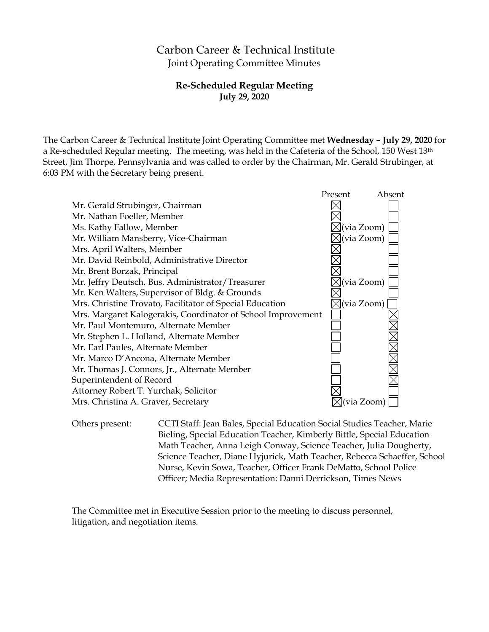# Carbon Career & Technical Institute Joint Operating Committee Minutes

### **Re-Scheduled Regular Meeting July 29, 2020**

The Carbon Career & Technical Institute Joint Operating Committee met **Wednesday – July 29, 2020** for a Re-scheduled Regular meeting. The meeting, was held in the Cafeteria of the School, 150 West 13th Street, Jim Thorpe, Pennsylvania and was called to order by the Chairman, Mr. Gerald Strubinger, at 6:03 PM with the Secretary being present.



Others present: CCTI Staff: Jean Bales, Special Education Social Studies Teacher, Marie Bieling, Special Education Teacher, Kimberly Bittle, Special Education Math Teacher, Anna Leigh Conway, Science Teacher, Julia Dougherty, Science Teacher, Diane Hyjurick, Math Teacher, Rebecca Schaeffer, School Nurse, Kevin Sowa, Teacher, Officer Frank DeMatto, School Police Officer; Media Representation: Danni Derrickson, Times News

The Committee met in Executive Session prior to the meeting to discuss personnel, litigation, and negotiation items.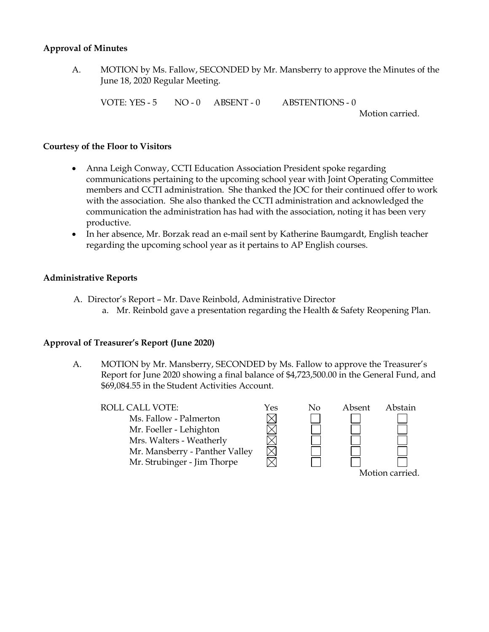#### **Approval of Minutes**

A. MOTION by Ms. Fallow, SECONDED by Mr. Mansberry to approve the Minutes of the June 18, 2020 Regular Meeting.

VOTE: YES - 5 NO - 0 ABSENT - 0 ABSTENTIONS - 0

Motion carried.

#### **Courtesy of the Floor to Visitors**

- Anna Leigh Conway, CCTI Education Association President spoke regarding communications pertaining to the upcoming school year with Joint Operating Committee members and CCTI administration. She thanked the JOC for their continued offer to work with the association. She also thanked the CCTI administration and acknowledged the communication the administration has had with the association, noting it has been very productive.
- In her absence, Mr. Borzak read an e-mail sent by Katherine Baumgardt, English teacher regarding the upcoming school year as it pertains to AP English courses.

### **Administrative Reports**

- A. Director's Report Mr. Dave Reinbold, Administrative Director
	- a. Mr. Reinbold gave a presentation regarding the Health & Safety Reopening Plan.

#### **Approval of Treasurer's Report (June 2020)**

A. MOTION by Mr. Mansberry, SECONDED by Ms. Fallow to approve the Treasurer's Report for June 2020 showing a final balance of \$4,723,500.00 in the General Fund, and \$69,084.55 in the Student Activities Account.

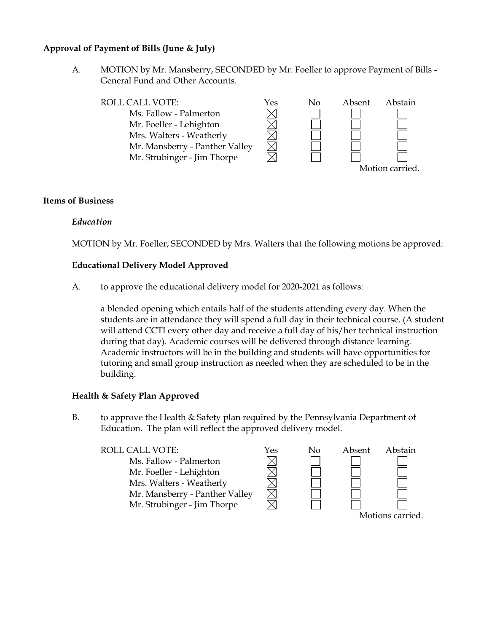### **Approval of Payment of Bills (June & July)**

A. MOTION by Mr. Mansberry, SECONDED by Mr. Foeller to approve Payment of Bills - General Fund and Other Accounts.



#### **Items of Business**

### *Education*

MOTION by Mr. Foeller, SECONDED by Mrs. Walters that the following motions be approved:

#### **Educational Delivery Model Approved**

A. to approve the educational delivery model for 2020-2021 as follows:

a blended opening which entails half of the students attending every day. When the students are in attendance they will spend a full day in their technical course. (A student will attend CCTI every other day and receive a full day of his/her technical instruction during that day). Academic courses will be delivered through distance learning. Academic instructors will be in the building and students will have opportunities for tutoring and small group instruction as needed when they are scheduled to be in the building.

#### **Health & Safety Plan Approved**

B. to approve the Health & Safety plan required by the Pennsylvania Department of Education. The plan will reflect the approved delivery model.

#### ROLL CALL VOTE:  $\gamma$ es No Absent Abstain



Motions carried.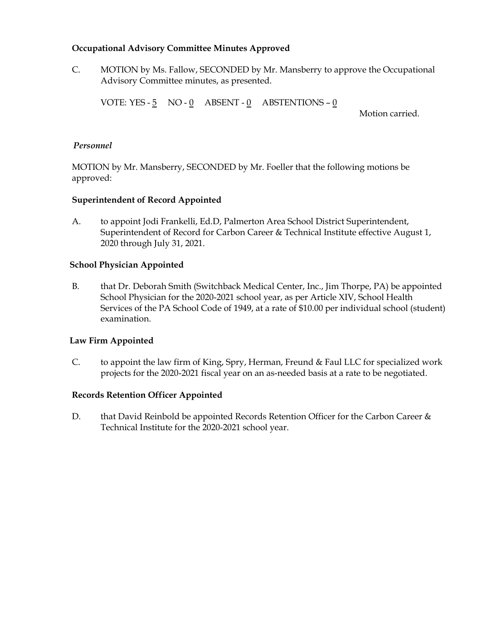### **Occupational Advisory Committee Minutes Approved**

C. MOTION by Ms. Fallow, SECONDED by Mr. Mansberry to approve the Occupational Advisory Committee minutes, as presented.

VOTE: YES -  $5 \quad \text{NO}$  -  $0 \quad \text{ABSENT}$  -  $0 \quad \text{ABSTENTIONS}$  -  $0 \quad$ 

Motion carried.

### *Personnel*

MOTION by Mr. Mansberry, SECONDED by Mr. Foeller that the following motions be approved:

### **Superintendent of Record Appointed**

A. to appoint Jodi Frankelli, Ed.D, Palmerton Area School District Superintendent, Superintendent of Record for Carbon Career & Technical Institute effective August 1, 2020 through July 31, 2021.

### **School Physician Appointed**

B. that Dr. Deborah Smith (Switchback Medical Center, Inc., Jim Thorpe, PA) be appointed School Physician for the 2020-2021 school year, as per Article XIV, School Health Services of the PA School Code of 1949, at a rate of \$10.00 per individual school (student) examination.

## **Law Firm Appointed**

C. to appoint the law firm of King, Spry, Herman, Freund & Faul LLC for specialized work projects for the 2020-2021 fiscal year on an as-needed basis at a rate to be negotiated.

## **Records Retention Officer Appointed**

D. that David Reinbold be appointed Records Retention Officer for the Carbon Career & Technical Institute for the 2020-2021 school year.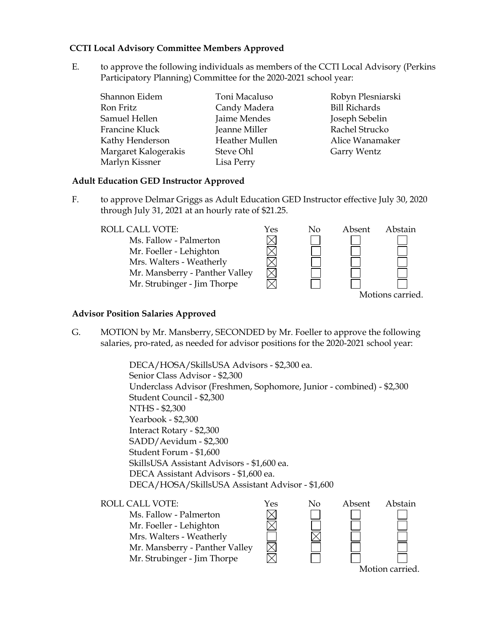### **CCTI Local Advisory Committee Members Approved**

E. to approve the following individuals as members of the CCTI Local Advisory (Perkins Participatory Planning) Committee for the 2020-2021 school year:

| Shannon Eidem        | Toni Macaluso         |
|----------------------|-----------------------|
| Ron Fritz            | Candy Madera          |
| Samuel Hellen        | Jaime Mendes          |
| Francine Kluck       | Jeanne Miller         |
| Kathy Henderson      | <b>Heather Mullen</b> |
| Margaret Kalogerakis | Steve Ohl             |
| Marlyn Kissner       | Lisa Perry            |

Robyn Plesniarski Bill Richards Joseph Sebelin Rachel Strucko Alice Wanamaker Garry Wentz

#### **Adult Education GED Instructor Approved**

F. to approve Delmar Griggs as Adult Education GED Instructor effective July 30, 2020 through July 31, 2021 at an hourly rate of \$21.25.

| ROLL CALL VOTE:                | Yes | No. | Absent | Abstain          |
|--------------------------------|-----|-----|--------|------------------|
| Ms. Fallow - Palmerton         |     |     |        |                  |
| Mr. Foeller - Lehighton        |     |     |        |                  |
| Mrs. Walters - Weatherly       |     |     |        |                  |
| Mr. Mansberry - Panther Valley |     |     |        |                  |
| Mr. Strubinger - Jim Thorpe    |     |     |        |                  |
|                                |     |     |        | Motions carried. |

#### **Advisor Position Salaries Approved**

G. MOTION by Mr. Mansberry, SECONDED by Mr. Foeller to approve the following salaries, pro-rated, as needed for advisor positions for the 2020-2021 school year:

> DECA/HOSA/SkillsUSA Advisors - \$2,300 ea. Senior Class Advisor - \$2,300 Underclass Advisor (Freshmen, Sophomore, Junior - combined) - \$2,300 Student Council - \$2,300 NTHS - \$2,300 Yearbook - \$2,300 Interact Rotary - \$2,300 SADD/Aevidum - \$2,300 Student Forum - \$1,600 SkillsUSA Assistant Advisors - \$1,600 ea. DECA Assistant Advisors - \$1,600 ea. DECA/HOSA/SkillsUSA Assistant Advisor - \$1,600

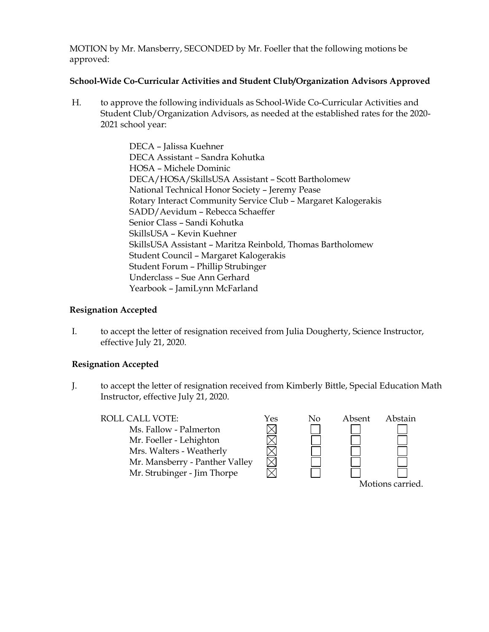MOTION by Mr. Mansberry, SECONDED by Mr. Foeller that the following motions be approved:

### **School-Wide Co-Curricular Activities and Student Club/Organization Advisors Approved**

H. to approve the following individuals as School-Wide Co-Curricular Activities and Student Club/Organization Advisors, as needed at the established rates for the 2020- 2021 school year:

> DECA – Jalissa Kuehner DECA Assistant – Sandra Kohutka HOSA – Michele Dominic DECA/HOSA/SkillsUSA Assistant – Scott Bartholomew National Technical Honor Society – Jeremy Pease Rotary Interact Community Service Club – Margaret Kalogerakis SADD/Aevidum – Rebecca Schaeffer Senior Class – Sandi Kohutka SkillsUSA – Kevin Kuehner SkillsUSA Assistant – Maritza Reinbold, Thomas Bartholomew Student Council – Margaret Kalogerakis Student Forum – Phillip Strubinger Underclass – Sue Ann Gerhard Yearbook – JamiLynn McFarland

### **Resignation Accepted**

I. to accept the letter of resignation received from Julia Dougherty, Science Instructor, effective July 21, 2020.

## **Resignation Accepted**

J. to accept the letter of resignation received from Kimberly Bittle, Special Education Math Instructor, effective July 21, 2020.

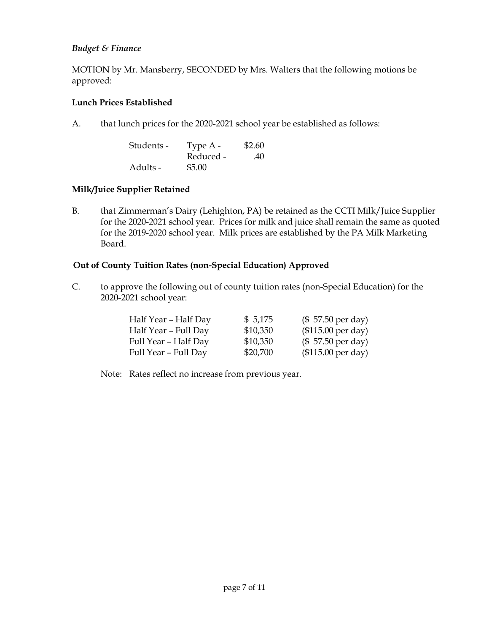### *Budget & Finance*

MOTION by Mr. Mansberry, SECONDED by Mrs. Walters that the following motions be approved:

#### **Lunch Prices Established**

A. that lunch prices for the 2020-2021 school year be established as follows:

| Students - | Type $A -$ | \$2.60 |
|------------|------------|--------|
|            | Reduced -  | .40    |
| Adults -   | \$5.00     |        |

### **Milk/Juice Supplier Retained**

B. that Zimmerman's Dairy (Lehighton, PA) be retained as the CCTI Milk/Juice Supplier for the 2020-2021 school year. Prices for milk and juice shall remain the same as quoted for the 2019-2020 school year. Milk prices are established by the PA Milk Marketing Board.

### **Out of County Tuition Rates (non-Special Education) Approved**

C. to approve the following out of county tuition rates (non-Special Education) for the 2020-2021 school year:

| Half Year - Half Day | \$5,175  | $($57.50 \text{ per day})$  |
|----------------------|----------|-----------------------------|
| Half Year - Full Day | \$10,350 | $($115.00 \text{ per day})$ |
| Full Year - Half Day | \$10,350 | $($57.50 \text{ per day})$  |
| Full Year – Full Day | \$20,700 | $($115.00 \text{ per day})$ |

Note: Rates reflect no increase from previous year.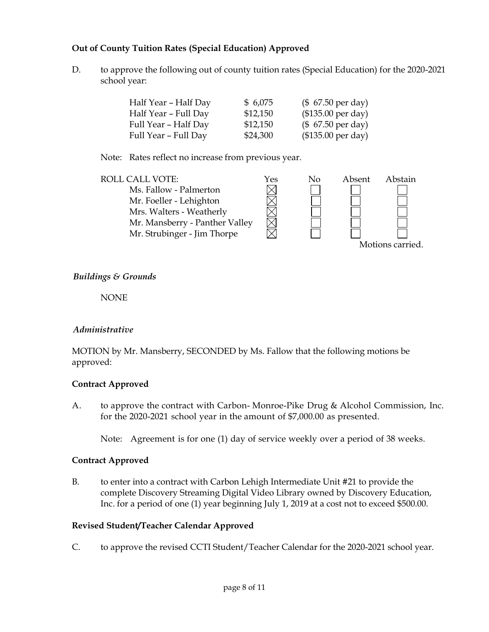### **Out of County Tuition Rates (Special Education) Approved**

D. to approve the following out of county tuition rates (Special Education) for the 2020-2021 school year:

| Half Year - Half Day | \$6,075  | $($ 67.50 \text{ per day})$ |
|----------------------|----------|-----------------------------|
| Half Year - Full Day | \$12,150 | $($135.00 \text{ per day})$ |
| Full Year - Half Day | \$12,150 | $($7.50 \text{ per day})$   |
| Full Year - Full Day | \$24,300 | $($135.00 \text{ per day})$ |

Note: Rates reflect no increase from previous year.

| <b>ROLL CALL VOTE:</b>         | Yes | No | Absent | Abstain          |
|--------------------------------|-----|----|--------|------------------|
| Ms. Fallow - Palmerton         |     |    |        |                  |
| Mr. Foeller - Lehighton        |     |    |        |                  |
| Mrs. Walters - Weatherly       |     |    |        |                  |
| Mr. Mansberry - Panther Valley |     |    |        |                  |
| Mr. Strubinger - Jim Thorpe    |     |    |        |                  |
|                                |     |    |        | Motions carried. |

### *Buildings & Grounds*

NONE

### *Administrative*

MOTION by Mr. Mansberry, SECONDED by Ms. Fallow that the following motions be approved:

### **Contract Approved**

A. to approve the contract with Carbon- Monroe-Pike Drug & Alcohol Commission, Inc. for the 2020-2021 school year in the amount of \$7,000.00 as presented.

Note: Agreement is for one (1) day of service weekly over a period of 38 weeks.

### **Contract Approved**

B. to enter into a contract with Carbon Lehigh Intermediate Unit #21 to provide the complete Discovery Streaming Digital Video Library owned by Discovery Education, Inc. for a period of one (1) year beginning July 1, 2019 at a cost not to exceed \$500.00.

### **Revised Student/Teacher Calendar Approved**

C. to approve the revised CCTI Student/Teacher Calendar for the 2020-2021 school year.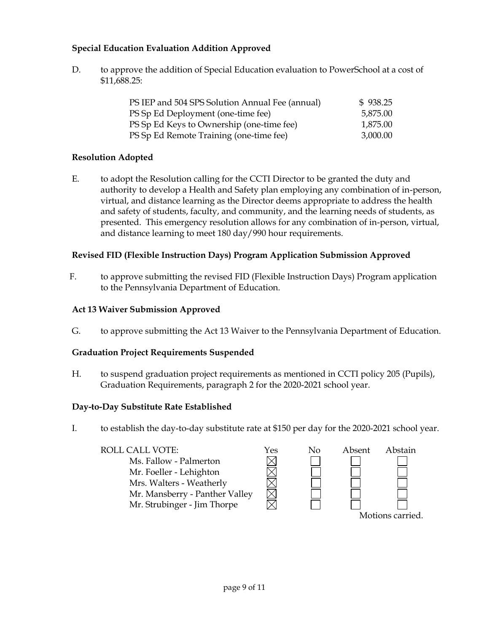## **Special Education Evaluation Addition Approved**

D. to approve the addition of Special Education evaluation to PowerSchool at a cost of \$11,688.25:

| PS IEP and 504 SPS Solution Annual Fee (annual) | \$938.25 |
|-------------------------------------------------|----------|
| PS Sp Ed Deployment (one-time fee)              | 5,875.00 |
| PS Sp Ed Keys to Ownership (one-time fee)       | 1,875.00 |
| PS Sp Ed Remote Training (one-time fee)         | 3,000.00 |

## **Resolution Adopted**

E. to adopt the Resolution calling for the CCTI Director to be granted the duty and authority to develop a Health and Safety plan employing any combination of in-person, virtual, and distance learning as the Director deems appropriate to address the health and safety of students, faculty, and community, and the learning needs of students, as presented. This emergency resolution allows for any combination of in-person, virtual, and distance learning to meet 180 day/990 hour requirements.

## **Revised FID (Flexible Instruction Days) Program Application Submission Approved**

F. to approve submitting the revised FID (Flexible Instruction Days) Program application to the Pennsylvania Department of Education.

## **Act 13 Waiver Submission Approved**

G. to approve submitting the Act 13 Waiver to the Pennsylvania Department of Education.

## **Graduation Project Requirements Suspended**

H. to suspend graduation project requirements as mentioned in CCTI policy 205 (Pupils), Graduation Requirements, paragraph 2 for the 2020-2021 school year.

## **Day-to-Day Substitute Rate Established**

I. to establish the day-to-day substitute rate at \$150 per day for the 2020-2021 school year.

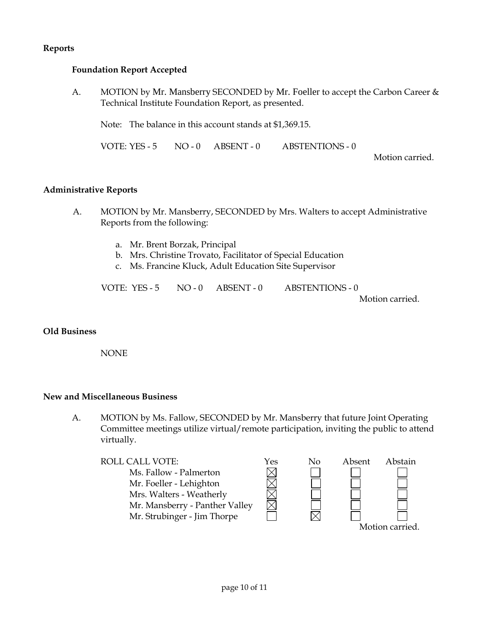### **Reports**

### **Foundation Report Accepted**

A. MOTION by Mr. Mansberry SECONDED by Mr. Foeller to accept the Carbon Career & Technical Institute Foundation Report, as presented.

Note: The balance in this account stands at \$1,369.15.

VOTE: YES - 5 NO - 0 ABSENT - 0 ABSTENTIONS - 0

Motion carried.

#### **Administrative Reports**

- A. MOTION by Mr. Mansberry, SECONDED by Mrs. Walters to accept Administrative Reports from the following:
	- a. Mr. Brent Borzak, Principal
	- b. Mrs. Christine Trovato, Facilitator of Special Education
	- c. Ms. Francine Kluck, Adult Education Site Supervisor

VOTE: YES - 5 NO - 0 ABSENT - 0 ABSTENTIONS - 0

Motion carried.

#### **Old Business**

NONE

#### **New and Miscellaneous Business**

A. MOTION by Ms. Fallow, SECONDED by Mr. Mansberry that future Joint Operating Committee meetings utilize virtual/remote participation, inviting the public to attend virtually.

![](_page_9_Figure_17.jpeg)